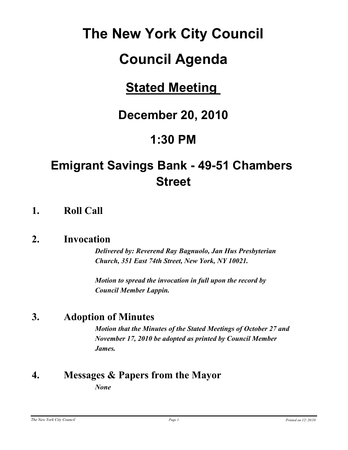# **The New York City Council**

# **Council Agenda**

## **Stated Meeting**

## **December 20, 2010**

## **1:30 PM**

## **Emigrant Savings Bank - 49-51 Chambers Street**

## **1. Roll Call**

## **2. Invocation**

*Delivered by: Reverend Ray Bagnuolo, Jan Hus Presbyterian Church, 351 East 74th Street, New York, NY 10021.*

*Motion to spread the invocation in full upon the record by Council Member Lappin.*

## **3. Adoption of Minutes**

*Motion that the Minutes of the Stated Meetings of October 27 and November 17, 2010 be adopted as printed by Council Member James.*

## **4. Messages & Papers from the Mayor** *None*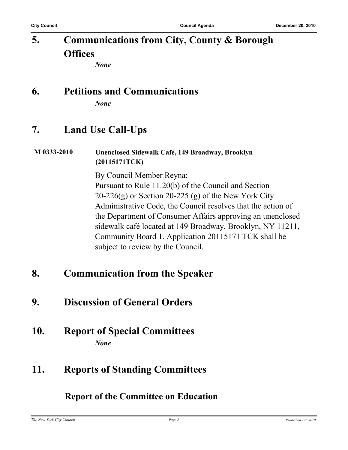#### **Communications from City, County & Borough Offices 5.**

*None*

## **6. Petitions and Communications**

*None*

## **7. Land Use Call-Ups**

#### **M 0333-2010 Unenclosed Sidewalk Café, 149 Broadway, Brooklyn (20115171TCK)**

By Council Member Reyna: Pursuant to Rule 11.20(b) of the Council and Section  $20-226(g)$  or Section 20-225 (g) of the New York City Administrative Code, the Council resolves that the action of the Department of Consumer Affairs approving an unenclosed sidewalk café located at 149 Broadway, Brooklyn, NY 11211, Community Board 1, Application 20115171 TCK shall be subject to review by the Council.

## **8. Communication from the Speaker**

- **9. Discussion of General Orders**
- **10. Report of Special Committees** *None*

## **11. Reports of Standing Committees**

#### **Report of the Committee on Education**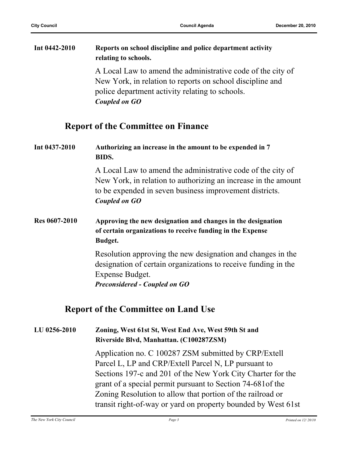| Int $0442 - 2010$ | Reports on school discipline and police department activity<br>relating to schools.                                                                                         |
|-------------------|-----------------------------------------------------------------------------------------------------------------------------------------------------------------------------|
|                   | A Local Law to amend the administrative code of the city of<br>New York, in relation to reports on school discipline and<br>police department activity relating to schools. |
|                   | Coupled on GO                                                                                                                                                               |

#### **Report of the Committee on Finance**

#### **Int 0437-2010 Authorizing an increase in the amount to be expended in 7 BIDS.**

A Local Law to amend the administrative code of the city of New York, in relation to authorizing an increase in the amount to be expended in seven business improvement districts. *Coupled on GO*

#### **Res 0607-2010 Approving the new designation and changes in the designation of certain organizations to receive funding in the Expense Budget.**

Resolution approving the new designation and changes in the designation of certain organizations to receive funding in the Expense Budget. *Preconsidered - Coupled on GO*

#### **Report of the Committee on Land Use**

#### **LU 0256-2010 Zoning, West 61st St, West End Ave, West 59th St and Riverside Blvd, Manhattan. (C100287ZSM)**

Application no. C 100287 ZSM submitted by CRP/Extell Parcel L, LP and CRP/Extell Parcel N, LP pursuant to Sections 197-c and 201 of the New York City Charter for the grant of a special permit pursuant to Section 74-681of the Zoning Resolution to allow that portion of the railroad or transit right-of-way or yard on property bounded by West 61st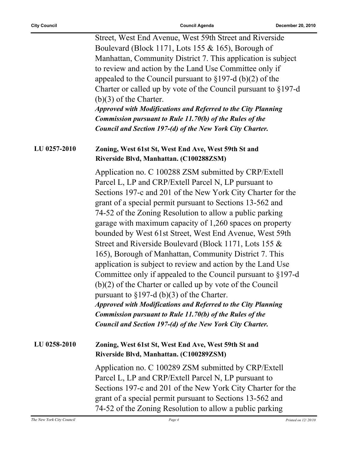|              | Street, West End Avenue, West 59th Street and Riverside              |
|--------------|----------------------------------------------------------------------|
|              | Boulevard (Block 1171, Lots 155 $&$ 165), Borough of                 |
|              | Manhattan, Community District 7. This application is subject         |
|              | to review and action by the Land Use Committee only if               |
|              | appealed to the Council pursuant to $\S 197-d$ (b)(2) of the         |
|              | Charter or called up by vote of the Council pursuant to $\S 197-d$   |
|              | $(b)(3)$ of the Charter.                                             |
|              | <b>Approved with Modifications and Referred to the City Planning</b> |
|              | <b>Commission pursuant to Rule 11.70(b) of the Rules of the</b>      |
|              | Council and Section 197-(d) of the New York City Charter.            |
| LU 0257-2010 | Zoning, West 61st St, West End Ave, West 59th St and                 |
|              | Riverside Blvd, Manhattan. (C100288ZSM)                              |
|              |                                                                      |
|              | Application no. C 100288 ZSM submitted by CRP/Extell                 |
|              | Parcel L, LP and CRP/Extell Parcel N, LP pursuant to                 |
|              | Sections 197-c and 201 of the New York City Charter for the          |
|              | grant of a special permit pursuant to Sections 13-562 and            |
|              | 74-52 of the Zoning Resolution to allow a public parking             |
|              | garage with maximum capacity of 1,260 spaces on property             |
|              | bounded by West 61st Street, West End Avenue, West 59th              |
|              | Street and Riverside Boulevard (Block 1171, Lots 155 &               |
|              | 165), Borough of Manhattan, Community District 7. This               |
|              | application is subject to review and action by the Land Use          |
|              | Committee only if appealed to the Council pursuant to $\S 197-d$     |
|              | $(b)(2)$ of the Charter or called up by vote of the Council          |
|              | pursuant to $\S 197-d$ (b)(3) of the Charter.                        |
|              | <b>Approved with Modifications and Referred to the City Planning</b> |
|              | <b>Commission pursuant to Rule 11.70(b) of the Rules of the</b>      |
|              | Council and Section 197-(d) of the New York City Charter.            |
|              |                                                                      |
| LU 0258-2010 | Zoning, West 61st St, West End Ave, West 59th St and                 |
|              | Riverside Blvd, Manhattan. (C100289ZSM)                              |
|              | Application no. C 100289 ZSM submitted by CRP/Extell                 |
|              | Parcel L, LP and CRP/Extell Parcel N, LP pursuant to                 |
|              | Sections 197-c and 201 of the New York City Charter for the          |
|              | grant of a special permit pursuant to Sections 13-562 and            |
|              | 74-52 of the Zoning Resolution to allow a public parking             |
|              |                                                                      |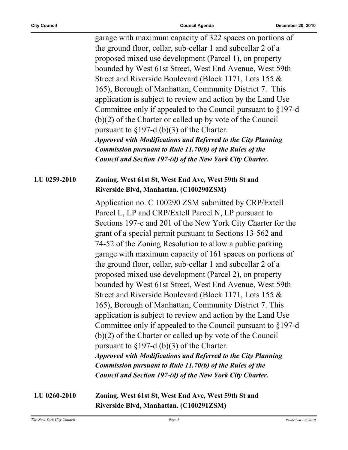garage with maximum capacity of 322 spaces on portions of the ground floor, cellar, sub-cellar 1 and subcellar 2 of a proposed mixed use development (Parcel 1), on property bounded by West 61st Street, West End Avenue, West 59th Street and Riverside Boulevard (Block 1171, Lots 155 & 165), Borough of Manhattan, Community District 7. This application is subject to review and action by the Land Use Committee only if appealed to the Council pursuant to §197-d (b)(2) of the Charter or called up by vote of the Council pursuant to §197-d (b)(3) of the Charter. *Approved with Modifications and Referred to the City Planning Commission pursuant to Rule 11.70(b) of the Rules of the Council and Section 197-(d) of the New York City Charter.*

#### **LU 0259-2010 Zoning, West 61st St, West End Ave, West 59th St and Riverside Blvd, Manhattan. (C100290ZSM)**

Application no. C 100290 ZSM submitted by CRP/Extell Parcel L, LP and CRP/Extell Parcel N, LP pursuant to Sections 197-c and 201 of the New York City Charter for the grant of a special permit pursuant to Sections 13-562 and 74-52 of the Zoning Resolution to allow a public parking garage with maximum capacity of 161 spaces on portions of the ground floor, cellar, sub-cellar 1 and subcellar 2 of a proposed mixed use development (Parcel 2), on property bounded by West 61st Street, West End Avenue, West 59th Street and Riverside Boulevard (Block 1171, Lots 155 & 165), Borough of Manhattan, Community District 7. This application is subject to review and action by the Land Use Committee only if appealed to the Council pursuant to §197-d (b)(2) of the Charter or called up by vote of the Council pursuant to §197-d (b)(3) of the Charter. *Approved with Modifications and Referred to the City Planning Commission pursuant to Rule 11.70(b) of the Rules of the Council and Section 197-(d) of the New York City Charter.*

#### **LU 0260-2010 Zoning, West 61st St, West End Ave, West 59th St and Riverside Blvd, Manhattan. (C100291ZSM)**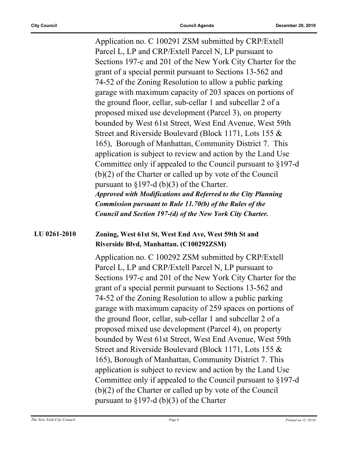Application no. C 100291 ZSM submitted by CRP/Extell Parcel L, LP and CRP/Extell Parcel N, LP pursuant to Sections 197-c and 201 of the New York City Charter for the grant of a special permit pursuant to Sections 13-562 and 74-52 of the Zoning Resolution to allow a public parking garage with maximum capacity of 203 spaces on portions of the ground floor, cellar, sub-cellar 1 and subcellar 2 of a proposed mixed use development (Parcel 3), on property bounded by West 61st Street, West End Avenue, West 59th Street and Riverside Boulevard (Block 1171, Lots 155 & 165), Borough of Manhattan, Community District 7. This application is subject to review and action by the Land Use Committee only if appealed to the Council pursuant to §197-d (b)(2) of the Charter or called up by vote of the Council pursuant to §197-d (b)(3) of the Charter. *Approved with Modifications and Referred to the City Planning Commission pursuant to Rule 11.70(b) of the Rules of the Council and Section 197-(d) of the New York City Charter.*

#### **LU 0261-2010 Zoning, West 61st St, West End Ave, West 59th St and Riverside Blvd, Manhattan. (C100292ZSM)**

Application no. C 100292 ZSM submitted by CRP/Extell Parcel L, LP and CRP/Extell Parcel N, LP pursuant to Sections 197-c and 201 of the New York City Charter for the grant of a special permit pursuant to Sections 13-562 and 74-52 of the Zoning Resolution to allow a public parking garage with maximum capacity of 259 spaces on portions of the ground floor, cellar, sub-cellar 1 and subcellar 2 of a proposed mixed use development (Parcel 4), on property bounded by West 61st Street, West End Avenue, West 59th Street and Riverside Boulevard (Block 1171, Lots 155 & 165), Borough of Manhattan, Community District 7. This application is subject to review and action by the Land Use Committee only if appealed to the Council pursuant to §197-d (b)(2) of the Charter or called up by vote of the Council pursuant to §197-d (b)(3) of the Charter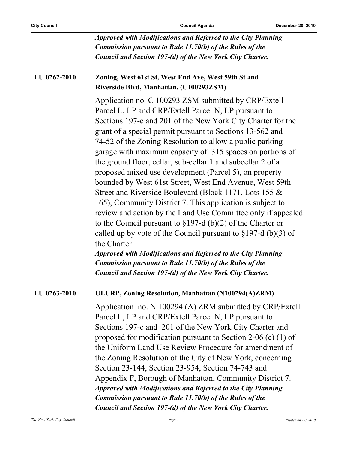| Approved with Modifications and Referred to the City Planning   |
|-----------------------------------------------------------------|
| <b>Commission pursuant to Rule 11.70(b) of the Rules of the</b> |
| Council and Section 197-(d) of the New York City Charter.       |

#### **LU 0262-2010 Zoning, West 61st St, West End Ave, West 59th St and Riverside Blvd, Manhattan. (C100293ZSM)**

Application no. C 100293 ZSM submitted by CRP/Extell Parcel L, LP and CRP/Extell Parcel N, LP pursuant to Sections 197-c and 201 of the New York City Charter for the grant of a special permit pursuant to Sections 13-562 and 74-52 of the Zoning Resolution to allow a public parking garage with maximum capacity of 315 spaces on portions of the ground floor, cellar, sub-cellar 1 and subcellar 2 of a proposed mixed use development (Parcel 5), on property bounded by West 61st Street, West End Avenue, West 59th Street and Riverside Boulevard (Block 1171, Lots 155 & 165), Community District 7. This application is subject to review and action by the Land Use Committee only if appealed to the Council pursuant to §197-d (b)(2) of the Charter or called up by vote of the Council pursuant to  $\S 197-d$  (b)(3) of the Charter

*Approved with Modifications and Referred to the City Planning Commission pursuant to Rule 11.70(b) of the Rules of the Council and Section 197-(d) of the New York City Charter.*

#### **LU 0263-2010 ULURP, Zoning Resolution, Manhattan (N100294(A)ZRM)**

Application no. N 100294 (A) ZRM submitted by CRP/Extell Parcel L, LP and CRP/Extell Parcel N, LP pursuant to Sections 197-c and 201 of the New York City Charter and proposed for modification pursuant to Section 2-06 (c) (1) of the Uniform Land Use Review Procedure for amendment of the Zoning Resolution of the City of New York, concerning Section 23-144, Section 23-954, Section 74-743 and Appendix F, Borough of Manhattan, Community District 7. *Approved with Modifications and Referred to the City Planning Commission pursuant to Rule 11.70(b) of the Rules of the Council and Section 197-(d) of the New York City Charter.*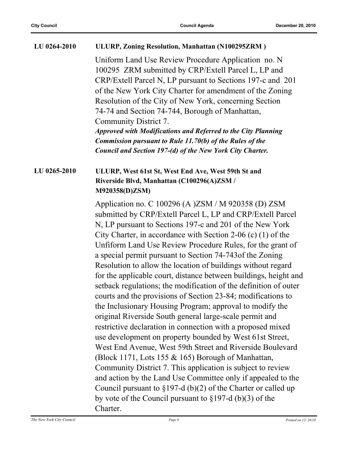#### **LU 0264-2010 ULURP, Zoning Resolution, Manhattan (N100295ZRM )**

Uniform Land Use Review Procedure Application no. N 100295 ZRM submitted by CRP/Extell Parcel L, LP and CRP/Extell Parcel N, LP pursuant to Sections 197-c and 201 of the New York City Charter for amendment of the Zoning Resolution of the City of New York, concerning Section 74-74 and Section 74-744, Borough of Manhattan, Community District 7. *Approved with Modifications and Referred to the City Planning* 

*Commission pursuant to Rule 11.70(b) of the Rules of the Council and Section 197-(d) of the New York City Charter.*

#### **LU 0265-2010 ULURP, West 61st St, West End Ave, West 59th St and Riverside Blvd, Manhattan (C100296(A)ZSM / M920358(D)ZSM)**

Application no. C 100296 (A )ZSM / M 920358 (D) ZSM submitted by CRP/Extell Parcel L, LP and CRP/Extell Parcel N, LP pursuant to Sections 197-c and 201 of the New York City Charter, in accordance with Section 2-06 (c) (1) of the Unfiform Land Use Review Procedure Rules, for the grant of a special permit pursuant to Section 74-743of the Zoning Resolution to allow the location of buildings without regard for the applicable court, distance between buildings, height and setback regulations; the modification of the definition of outer courts and the provisions of Section 23-84; modifications to the Inclusionary Housing Program; approval to modify the original Riverside South general large-scale permit and restrictive declaration in connection with a proposed mixed use development on property bounded by West 61st Street, West End Avenue, West 59th Street and Riverside Boulevard (Block 1171, Lots 155 & 165) Borough of Manhattan, Community District 7. This application is subject to review and action by the Land Use Committee only if appealed to the Council pursuant to §197-d (b)(2) of the Charter or called up by vote of the Council pursuant to §197-d (b)(3) of the Charter.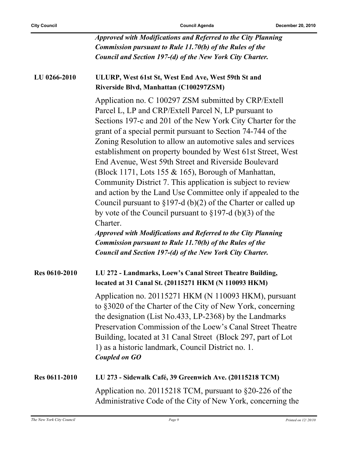|                      | <b>Approved with Modifications and Referred to the City Planning</b><br><b>Commission pursuant to Rule 11.70(b) of the Rules of the</b><br>Council and Section 197-(d) of the New York City Charter.                                                                                                                                                                                                                                                                                                                                                                                                                                                                                                                                                                                                                                                                                                                                                                      |
|----------------------|---------------------------------------------------------------------------------------------------------------------------------------------------------------------------------------------------------------------------------------------------------------------------------------------------------------------------------------------------------------------------------------------------------------------------------------------------------------------------------------------------------------------------------------------------------------------------------------------------------------------------------------------------------------------------------------------------------------------------------------------------------------------------------------------------------------------------------------------------------------------------------------------------------------------------------------------------------------------------|
| LU 0266-2010         | ULURP, West 61st St, West End Ave, West 59th St and<br>Riverside Blvd, Manhattan (C100297ZSM)                                                                                                                                                                                                                                                                                                                                                                                                                                                                                                                                                                                                                                                                                                                                                                                                                                                                             |
|                      | Application no. C 100297 ZSM submitted by CRP/Extell<br>Parcel L, LP and CRP/Extell Parcel N, LP pursuant to<br>Sections 197-c and 201 of the New York City Charter for the<br>grant of a special permit pursuant to Section 74-744 of the<br>Zoning Resolution to allow an automotive sales and services<br>establishment on property bounded by West 61st Street, West<br>End Avenue, West 59th Street and Riverside Boulevard<br>(Block 1171, Lots 155 $&$ 165), Borough of Manhattan,<br>Community District 7. This application is subject to review<br>and action by the Land Use Committee only if appealed to the<br>Council pursuant to $\S 197-d$ (b)(2) of the Charter or called up<br>by vote of the Council pursuant to $\S 197-d$ (b)(3) of the<br>Charter.<br><b>Approved with Modifications and Referred to the City Planning</b><br>Commission pursuant to Rule 11.70(b) of the Rules of the<br>Council and Section 197-(d) of the New York City Charter. |
| Res 0610-2010        | LU 272 - Landmarks, Loew's Canal Street Theatre Building,<br>located at 31 Canal St. (20115271 HKM (N 110093 HKM)                                                                                                                                                                                                                                                                                                                                                                                                                                                                                                                                                                                                                                                                                                                                                                                                                                                         |
|                      | Application no. 20115271 HKM (N 110093 HKM), pursuant<br>to §3020 of the Charter of the City of New York, concerning<br>the designation (List No.433, LP-2368) by the Landmarks<br>Preservation Commission of the Loew's Canal Street Theatre<br>Building, located at 31 Canal Street (Block 297, part of Lot<br>1) as a historic landmark, Council District no. 1.<br><b>Coupled on GO</b>                                                                                                                                                                                                                                                                                                                                                                                                                                                                                                                                                                               |
| <b>Res 0611-2010</b> | LU 273 - Sidewalk Café, 39 Greenwich Ave. (20115218 TCM)                                                                                                                                                                                                                                                                                                                                                                                                                                                                                                                                                                                                                                                                                                                                                                                                                                                                                                                  |
|                      | Application no. 20115218 TCM, pursuant to $\S20-226$ of the<br>Administrative Code of the City of New York, concerning the                                                                                                                                                                                                                                                                                                                                                                                                                                                                                                                                                                                                                                                                                                                                                                                                                                                |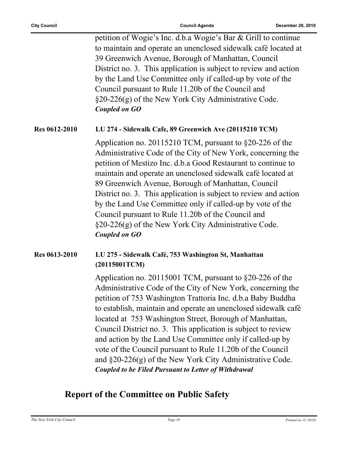petition of Wogie's Inc. d.b.a Wogie's Bar & Grill to continue to maintain and operate an unenclosed sidewalk café located at 39 Greenwich Avenue, Borough of Manhattan, Council District no. 3. This application is subject to review and action by the Land Use Committee only if called-up by vote of the Council pursuant to Rule 11.20b of the Council and §20-226(g) of the New York City Administrative Code. *Coupled on GO*

#### **Res 0612-2010 LU 274 - Sidewalk Cafe, 89 Greenwich Ave (20115210 TCM)**

Application no. 20115210 TCM, pursuant to §20-226 of the Administrative Code of the City of New York, concerning the petition of Mestizo Inc. d.b.a Good Restaurant to continue to maintain and operate an unenclosed sidewalk café located at 89 Greenwich Avenue, Borough of Manhattan, Council District no. 3. This application is subject to review and action by the Land Use Committee only if called-up by vote of the Council pursuant to Rule 11.20b of the Council and §20-226(g) of the New York City Administrative Code. *Coupled on GO*

#### **Res 0613-2010 LU 275 - Sidewalk Café, 753 Washington St, Manhattan (20115001TCM)**

Application no. 20115001 TCM, pursuant to §20-226 of the Administrative Code of the City of New York, concerning the petition of 753 Washington Trattoria Inc. d.b.a Baby Buddha to establish, maintain and operate an unenclosed sidewalk café located at 753 Washington Street, Borough of Manhattan, Council District no. 3. This application is subject to review and action by the Land Use Committee only if called-up by vote of the Council pursuant to Rule 11.20b of the Council and §20-226(g) of the New York City Administrative Code. *Coupled to be Filed Pursuant to Letter of Withdrawal*

### **Report of the Committee on Public Safety**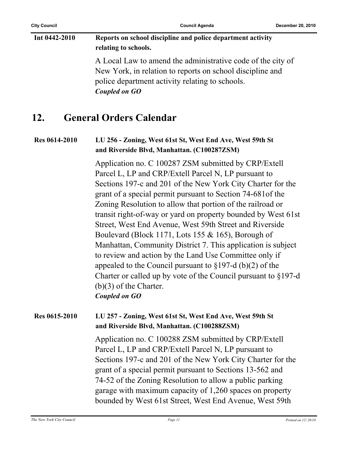**Int 0442-2010 Reports on school discipline and police department activity relating to schools.** A Local Law to amend the administrative code of the city of New York, in relation to reports on school discipline and police department activity relating to schools. *Coupled on GO*

### **12. General Orders Calendar**

#### **Res 0614-2010 LU 256 - Zoning, West 61st St, West End Ave, West 59th St and Riverside Blvd, Manhattan. (C100287ZSM)**

Application no. C 100287 ZSM submitted by CRP/Extell Parcel L, LP and CRP/Extell Parcel N, LP pursuant to Sections 197-c and 201 of the New York City Charter for the grant of a special permit pursuant to Section 74-681of the Zoning Resolution to allow that portion of the railroad or transit right-of-way or yard on property bounded by West 61st Street, West End Avenue, West 59th Street and Riverside Boulevard (Block 1171, Lots 155 & 165), Borough of Manhattan, Community District 7. This application is subject to review and action by the Land Use Committee only if appealed to the Council pursuant to §197-d (b)(2) of the Charter or called up by vote of the Council pursuant to §197-d (b)(3) of the Charter. *Coupled on GO*

#### **Res 0615-2010 LU 257 - Zoning, West 61st St, West End Ave, West 59th St and Riverside Blvd, Manhattan. (C100288ZSM)**

Application no. C 100288 ZSM submitted by CRP/Extell Parcel L, LP and CRP/Extell Parcel N, LP pursuant to Sections 197-c and 201 of the New York City Charter for the grant of a special permit pursuant to Sections 13-562 and 74-52 of the Zoning Resolution to allow a public parking garage with maximum capacity of 1,260 spaces on property bounded by West 61st Street, West End Avenue, West 59th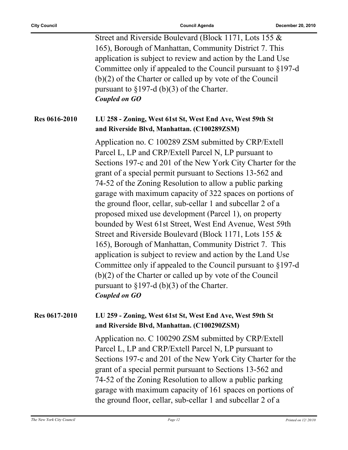Street and Riverside Boulevard (Block 1171, Lots 155 & 165), Borough of Manhattan, Community District 7. This application is subject to review and action by the Land Use Committee only if appealed to the Council pursuant to §197-d (b)(2) of the Charter or called up by vote of the Council pursuant to §197-d (b)(3) of the Charter. *Coupled on GO* **Res 0616-2010 LU 258 - Zoning, West 61st St, West End Ave, West 59th St and Riverside Blvd, Manhattan. (C100289ZSM)** Application no. C 100289 ZSM submitted by CRP/Extell Parcel L, LP and CRP/Extell Parcel N, LP pursuant to Sections 197-c and 201 of the New York City Charter for the grant of a special permit pursuant to Sections 13-562 and 74-52 of the Zoning Resolution to allow a public parking garage with maximum capacity of 322 spaces on portions of the ground floor, cellar, sub-cellar 1 and subcellar 2 of a proposed mixed use development (Parcel 1), on property bounded by West 61st Street, West End Avenue, West 59th Street and Riverside Boulevard (Block 1171, Lots 155 & 165), Borough of Manhattan, Community District 7. This application is subject to review and action by the Land Use Committee only if appealed to the Council pursuant to §197-d (b)(2) of the Charter or called up by vote of the Council

*Coupled on GO*

#### **Res 0617-2010 LU 259 - Zoning, West 61st St, West End Ave, West 59th St and Riverside Blvd, Manhattan. (C100290ZSM)**

pursuant to §197-d (b)(3) of the Charter.

Application no. C 100290 ZSM submitted by CRP/Extell Parcel L, LP and CRP/Extell Parcel N, LP pursuant to Sections 197-c and 201 of the New York City Charter for the grant of a special permit pursuant to Sections 13-562 and 74-52 of the Zoning Resolution to allow a public parking garage with maximum capacity of 161 spaces on portions of the ground floor, cellar, sub-cellar 1 and subcellar 2 of a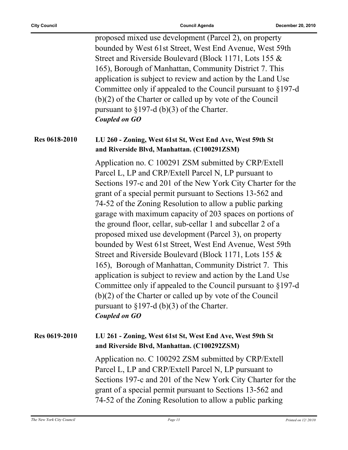proposed mixed use development (Parcel 2), on property bounded by West 61st Street, West End Avenue, West 59th Street and Riverside Boulevard (Block 1171, Lots 155 & 165), Borough of Manhattan, Community District 7. This application is subject to review and action by the Land Use Committee only if appealed to the Council pursuant to §197-d (b)(2) of the Charter or called up by vote of the Council pursuant to  $\S 197-d$  (b)(3) of the Charter. *Coupled on GO*

#### **Res 0618-2010 LU 260 - Zoning, West 61st St, West End Ave, West 59th St and Riverside Blvd, Manhattan. (C100291ZSM)**

Application no. C 100291 ZSM submitted by CRP/Extell Parcel L, LP and CRP/Extell Parcel N, LP pursuant to Sections 197-c and 201 of the New York City Charter for the grant of a special permit pursuant to Sections 13-562 and 74-52 of the Zoning Resolution to allow a public parking garage with maximum capacity of 203 spaces on portions of the ground floor, cellar, sub-cellar 1 and subcellar 2 of a proposed mixed use development (Parcel 3), on property bounded by West 61st Street, West End Avenue, West 59th Street and Riverside Boulevard (Block 1171, Lots 155 & 165), Borough of Manhattan, Community District 7. This application is subject to review and action by the Land Use Committee only if appealed to the Council pursuant to §197-d (b)(2) of the Charter or called up by vote of the Council pursuant to §197-d (b)(3) of the Charter. *Coupled on GO*

#### **Res 0619-2010 LU 261 - Zoning, West 61st St, West End Ave, West 59th St and Riverside Blvd, Manhattan. (C100292ZSM)**

Application no. C 100292 ZSM submitted by CRP/Extell Parcel L, LP and CRP/Extell Parcel N, LP pursuant to Sections 197-c and 201 of the New York City Charter for the grant of a special permit pursuant to Sections 13-562 and 74-52 of the Zoning Resolution to allow a public parking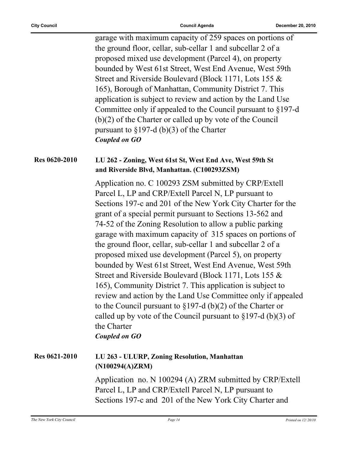garage with maximum capacity of 259 spaces on portions of the ground floor, cellar, sub-cellar 1 and subcellar 2 of a proposed mixed use development (Parcel 4), on property bounded by West 61st Street, West End Avenue, West 59th Street and Riverside Boulevard (Block 1171, Lots 155 & 165), Borough of Manhattan, Community District 7. This application is subject to review and action by the Land Use Committee only if appealed to the Council pursuant to §197-d (b)(2) of the Charter or called up by vote of the Council pursuant to §197-d (b)(3) of the Charter *Coupled on GO* **Res 0620-2010 LU 262 - Zoning, West 61st St, West End Ave, West 59th St and Riverside Blvd, Manhattan. (C100293ZSM)** Application no. C 100293 ZSM submitted by CRP/Extell Parcel L, LP and CRP/Extell Parcel N, LP pursuant to Sections 197-c and 201 of the New York City Charter for the grant of a special permit pursuant to Sections 13-562 and 74-52 of the Zoning Resolution to allow a public parking garage with maximum capacity of 315 spaces on portions of the ground floor, cellar, sub-cellar 1 and subcellar 2 of a proposed mixed use development (Parcel 5), on property bounded by West 61st Street, West End Avenue, West 59th Street and Riverside Boulevard (Block 1171, Lots 155 & 165), Community District 7. This application is subject to review and action by the Land Use Committee only if appealed to the Council pursuant to §197-d (b)(2) of the Charter or called up by vote of the Council pursuant to  $\S 197-d$  (b)(3) of the Charter *Coupled on GO* **Res 0621-2010 LU 263 - ULURP, Zoning Resolution, Manhattan (N100294(A)ZRM)**

> Application no. N 100294 (A) ZRM submitted by CRP/Extell Parcel L, LP and CRP/Extell Parcel N, LP pursuant to Sections 197-c and 201 of the New York City Charter and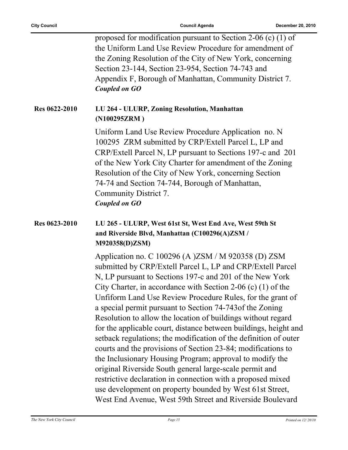|               | proposed for modification pursuant to Section 2-06 (c) $(1)$ of<br>the Uniform Land Use Review Procedure for amendment of<br>the Zoning Resolution of the City of New York, concerning<br>Section 23-144, Section 23-954, Section 74-743 and<br>Appendix F, Borough of Manhattan, Community District 7.<br><b>Coupled on GO</b>                                                                                                                                                                                                                                                                                                                                                                                                                                                                                                                                                                                                                                   |
|---------------|-------------------------------------------------------------------------------------------------------------------------------------------------------------------------------------------------------------------------------------------------------------------------------------------------------------------------------------------------------------------------------------------------------------------------------------------------------------------------------------------------------------------------------------------------------------------------------------------------------------------------------------------------------------------------------------------------------------------------------------------------------------------------------------------------------------------------------------------------------------------------------------------------------------------------------------------------------------------|
| Res 0622-2010 | LU 264 - ULURP, Zoning Resolution, Manhattan<br>(N100295ZRM)                                                                                                                                                                                                                                                                                                                                                                                                                                                                                                                                                                                                                                                                                                                                                                                                                                                                                                      |
|               | Uniform Land Use Review Procedure Application no. N<br>100295 ZRM submitted by CRP/Extell Parcel L, LP and<br>CRP/Extell Parcel N, LP pursuant to Sections 197-c and 201<br>of the New York City Charter for amendment of the Zoning<br>Resolution of the City of New York, concerning Section<br>74-74 and Section 74-744, Borough of Manhattan,<br>Community District 7.<br><b>Coupled on GO</b>                                                                                                                                                                                                                                                                                                                                                                                                                                                                                                                                                                |
| Res 0623-2010 | LU 265 - ULURP, West 61st St, West End Ave, West 59th St<br>and Riverside Blvd, Manhattan (C100296(A)ZSM /<br>M920358(D)ZSM)                                                                                                                                                                                                                                                                                                                                                                                                                                                                                                                                                                                                                                                                                                                                                                                                                                      |
|               | Application no. C 100296 (A )ZSM / M 920358 (D) ZSM<br>submitted by CRP/Extell Parcel L, LP and CRP/Extell Parcel<br>N, LP pursuant to Sections 197-c and 201 of the New York<br>City Charter, in accordance with Section 2-06 (c) $(1)$ of the<br>Unfiform Land Use Review Procedure Rules, for the grant of<br>a special permit pursuant to Section 74-743 of the Zoning<br>Resolution to allow the location of buildings without regard<br>for the applicable court, distance between buildings, height and<br>setback regulations; the modification of the definition of outer<br>courts and the provisions of Section 23-84; modifications to<br>the Inclusionary Housing Program; approval to modify the<br>original Riverside South general large-scale permit and<br>restrictive declaration in connection with a proposed mixed<br>use development on property bounded by West 61st Street,<br>West End Avenue, West 59th Street and Riverside Boulevard |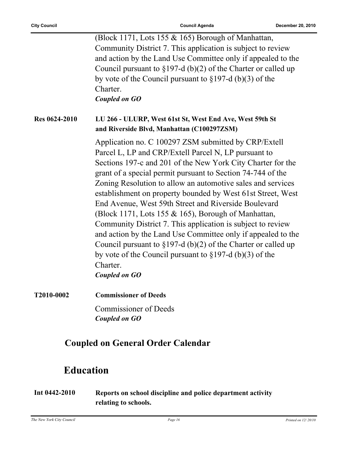|                      | (Block 1171, Lots 155 & 165) Borough of Manhattan,<br>Community District 7. This application is subject to review<br>and action by the Land Use Committee only if appealed to the<br>Council pursuant to $\S 197-d$ (b)(2) of the Charter or called up<br>by vote of the Council pursuant to $\S 197-d$ (b)(3) of the<br>Charter.<br><b>Coupled on GO</b>                                                                                                                                                                                                                                                                                                                                                                                                                                      |
|----------------------|------------------------------------------------------------------------------------------------------------------------------------------------------------------------------------------------------------------------------------------------------------------------------------------------------------------------------------------------------------------------------------------------------------------------------------------------------------------------------------------------------------------------------------------------------------------------------------------------------------------------------------------------------------------------------------------------------------------------------------------------------------------------------------------------|
| <b>Res 0624-2010</b> | LU 266 - ULURP, West 61st St, West End Ave, West 59th St<br>and Riverside Blvd, Manhattan (C100297ZSM)                                                                                                                                                                                                                                                                                                                                                                                                                                                                                                                                                                                                                                                                                         |
|                      | Application no. C 100297 ZSM submitted by CRP/Extell<br>Parcel L, LP and CRP/Extell Parcel N, LP pursuant to<br>Sections 197-c and 201 of the New York City Charter for the<br>grant of a special permit pursuant to Section 74-744 of the<br>Zoning Resolution to allow an automotive sales and services<br>establishment on property bounded by West 61st Street, West<br>End Avenue, West 59th Street and Riverside Boulevard<br>(Block 1171, Lots 155 & 165), Borough of Manhattan,<br>Community District 7. This application is subject to review<br>and action by the Land Use Committee only if appealed to the<br>Council pursuant to $\S 197-d (b)(2)$ of the Charter or called up<br>by vote of the Council pursuant to $\S 197-d$ (b)(3) of the<br>Charter.<br><b>Coupled on GO</b> |
| T2010-0002           | <b>Commissioner of Deeds</b>                                                                                                                                                                                                                                                                                                                                                                                                                                                                                                                                                                                                                                                                                                                                                                   |
|                      | $C$ and $\alpha$ is a sum of $D$ and $\alpha$                                                                                                                                                                                                                                                                                                                                                                                                                                                                                                                                                                                                                                                                                                                                                  |

Commissioner of Deeds *Coupled on GO*

## **Coupled on General Order Calendar**

## **Education**

#### **Int 0442-2010 Reports on school discipline and police department activity relating to schools.**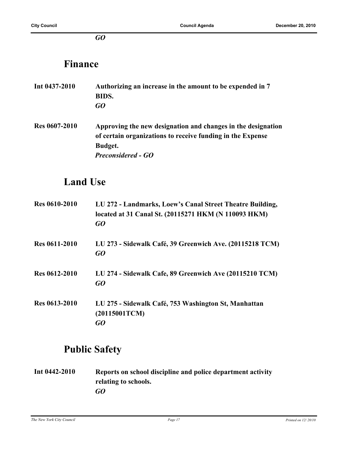*GO*

### **Finance**

| Int $0437 - 2010$ | Authorizing an increase in the amount to be expended in 7 |
|-------------------|-----------------------------------------------------------|
|                   | BIDS.                                                     |
|                   | GO                                                        |

**Res 0607-2010 Approving the new designation and changes in the designation of certain organizations to receive funding in the Expense Budget.** *Preconsidered - GO*

## **Land Use**

| <b>Res 0610-2010</b> | LU 272 - Landmarks, Loew's Canal Street Theatre Building,<br>located at 31 Canal St. (20115271 HKM (N 110093 HKM)<br>GO |
|----------------------|-------------------------------------------------------------------------------------------------------------------------|
| <b>Res 0611-2010</b> | LU 273 - Sidewalk Café, 39 Greenwich Ave. (20115218 TCM)<br>GQ                                                          |
| Res 0612-2010        | LU 274 - Sidewalk Cafe, 89 Greenwich Ave (20115210 TCM)<br>GQ                                                           |
| Res 0613-2010        | LU 275 - Sidewalk Café, 753 Washington St, Manhattan<br>(20115001TCM)<br>GO                                             |

## **Public Safety**

**Int 0442-2010 Reports on school discipline and police department activity relating to schools.** *GO*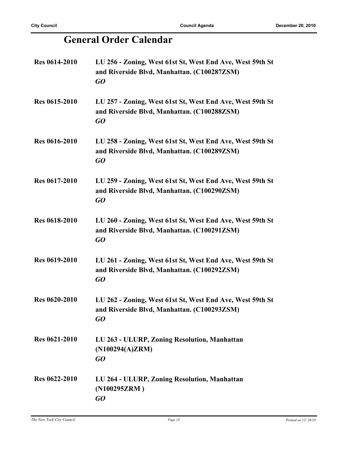## **General Order Calendar**

| <b>Res 0614-2010</b> | LU 256 - Zoning, West 61st St, West End Ave, West 59th St<br>and Riverside Blvd, Manhattan. (C100287ZSM)<br>GO |
|----------------------|----------------------------------------------------------------------------------------------------------------|
| Res 0615-2010        | LU 257 - Zoning, West 61st St, West End Ave, West 59th St<br>and Riverside Blvd, Manhattan. (C100288ZSM)<br>GO |
| <b>Res 0616-2010</b> | LU 258 - Zoning, West 61st St, West End Ave, West 59th St<br>and Riverside Blvd, Manhattan. (C100289ZSM)<br>GO |
| Res 0617-2010        | LU 259 - Zoning, West 61st St, West End Ave, West 59th St<br>and Riverside Blvd, Manhattan. (C100290ZSM)<br>GO |
| Res 0618-2010        | LU 260 - Zoning, West 61st St, West End Ave, West 59th St<br>and Riverside Blvd, Manhattan. (C100291ZSM)<br>GO |
| Res 0619-2010        | LU 261 - Zoning, West 61st St, West End Ave, West 59th St<br>and Riverside Blvd, Manhattan. (C100292ZSM)<br>GO |
| Res 0620-2010        | LU 262 - Zoning, West 61st St, West End Ave, West 59th St<br>and Riverside Blvd, Manhattan. (C100293ZSM)<br>GO |
| Res 0621-2010        | LU 263 - ULURP, Zoning Resolution, Manhattan<br>(N100294(A)ZRM)<br>GO                                          |
| Res 0622-2010        | LU 264 - ULURP, Zoning Resolution, Manhattan<br>(N100295ZRM)<br>GO                                             |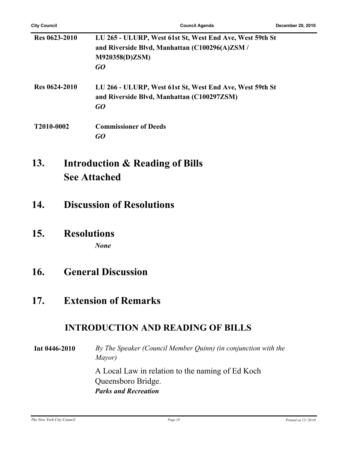| <b>City Council</b> |               | <b>Council Agenda</b>                                                                                                              | Decer |
|---------------------|---------------|------------------------------------------------------------------------------------------------------------------------------------|-------|
|                     | Res 0623-2010 | LU 265 - ULURP, West 61st St, West End Ave, West 59th St<br>and Riverside Blvd, Manhattan (C100296(A)ZSM /<br>M920358(D)ZSM)<br>GO |       |
|                     | Res 0624-2010 | LU 266 - ULURP, West 61st St, West End Ave, West 59th St<br>and Riverside Blvd, Manhattan (C100297ZSM)<br>GO                       |       |
| T2010-0002          |               | <b>Commissioner of Deeds</b><br>GO                                                                                                 |       |
| 13.                 |               | <b>Introduction &amp; Reading of Bills</b><br><b>See Attached</b>                                                                  |       |
| 14.                 |               | <b>Discussion of Resolutions</b>                                                                                                   |       |
| 15.                 |               | <b>Resolutions</b><br><b>None</b>                                                                                                  |       |
| 16.                 |               | <b>General Discussion</b>                                                                                                          |       |
| 17.                 |               | <b>Extension of Remarks</b>                                                                                                        |       |
|                     |               | <b>INTRODUCTION AND READING OF BILLS</b>                                                                                           |       |

**Int 0446-2010** *By The Speaker (Council Member Quinn) (in conjunction with the Mayor)*

> A Local Law in relation to the naming of Ed Koch Queensboro Bridge. *Parks and Recreation*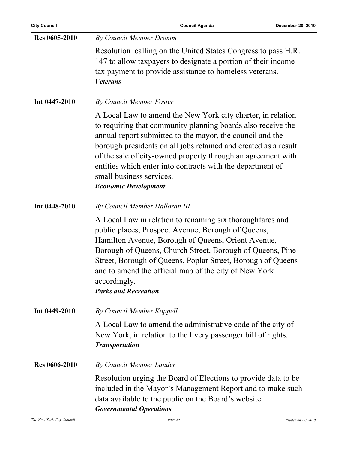| <b>City Council</b> | <b>Council Agenda</b>                                                                                                                                                                                                                                                                                                                                                                                                                                | December 20, 2010 |
|---------------------|------------------------------------------------------------------------------------------------------------------------------------------------------------------------------------------------------------------------------------------------------------------------------------------------------------------------------------------------------------------------------------------------------------------------------------------------------|-------------------|
| Res 0605-2010       | By Council Member Dromm                                                                                                                                                                                                                                                                                                                                                                                                                              |                   |
|                     | Resolution calling on the United States Congress to pass H.R.<br>147 to allow taxpayers to designate a portion of their income<br>tax payment to provide assistance to homeless veterans.<br><b>Veterans</b>                                                                                                                                                                                                                                         |                   |
| Int 0447-2010       | By Council Member Foster                                                                                                                                                                                                                                                                                                                                                                                                                             |                   |
|                     | A Local Law to amend the New York city charter, in relation<br>to requiring that community planning boards also receive the<br>annual report submitted to the mayor, the council and the<br>borough presidents on all jobs retained and created as a result<br>of the sale of city-owned property through an agreement with<br>entities which enter into contracts with the department of<br>small business services.<br><b>Economic Development</b> |                   |
| Int 0448-2010       | By Council Member Halloran III                                                                                                                                                                                                                                                                                                                                                                                                                       |                   |
|                     | A Local Law in relation to renaming six thoroughfares and<br>public places, Prospect Avenue, Borough of Queens,<br>Hamilton Avenue, Borough of Queens, Orient Avenue,<br>Borough of Queens, Church Street, Borough of Queens, Pine<br>Street, Borough of Queens, Poplar Street, Borough of Queens<br>and to amend the official map of the city of New York<br>accordingly.<br><b>Parks and Recreation</b>                                            |                   |
| Int 0449-2010       | By Council Member Koppell                                                                                                                                                                                                                                                                                                                                                                                                                            |                   |
|                     | A Local Law to amend the administrative code of the city of<br>New York, in relation to the livery passenger bill of rights.<br><b>Transportation</b>                                                                                                                                                                                                                                                                                                |                   |
| Res 0606-2010       | By Council Member Lander                                                                                                                                                                                                                                                                                                                                                                                                                             |                   |
|                     | Resolution urging the Board of Elections to provide data to be<br>included in the Mayor's Management Report and to make such<br>data available to the public on the Board's website.<br><b>Governmental Operations</b>                                                                                                                                                                                                                               |                   |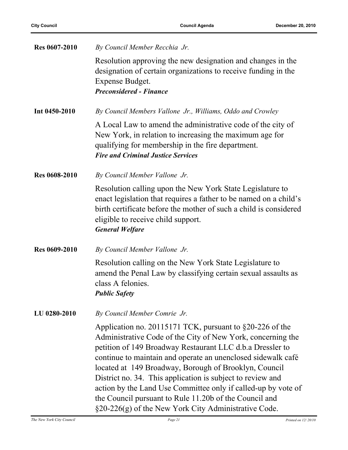| <b>Res 0607-2010</b> | By Council Member Recchia Jr.                                                                                                                                                                                                                                                                                                                                                                                                                                                                                                                                     |
|----------------------|-------------------------------------------------------------------------------------------------------------------------------------------------------------------------------------------------------------------------------------------------------------------------------------------------------------------------------------------------------------------------------------------------------------------------------------------------------------------------------------------------------------------------------------------------------------------|
|                      | Resolution approving the new designation and changes in the<br>designation of certain organizations to receive funding in the<br>Expense Budget.<br><b>Preconsidered - Finance</b>                                                                                                                                                                                                                                                                                                                                                                                |
|                      |                                                                                                                                                                                                                                                                                                                                                                                                                                                                                                                                                                   |
| Int 0450-2010        | By Council Members Vallone Jr., Williams, Oddo and Crowley                                                                                                                                                                                                                                                                                                                                                                                                                                                                                                        |
|                      | A Local Law to amend the administrative code of the city of<br>New York, in relation to increasing the maximum age for<br>qualifying for membership in the fire department.<br><b>Fire and Criminal Justice Services</b>                                                                                                                                                                                                                                                                                                                                          |
| <b>Res 0608-2010</b> | By Council Member Vallone Jr.                                                                                                                                                                                                                                                                                                                                                                                                                                                                                                                                     |
|                      | Resolution calling upon the New York State Legislature to<br>enact legislation that requires a father to be named on a child's<br>birth certificate before the mother of such a child is considered<br>eligible to receive child support.<br><b>General Welfare</b>                                                                                                                                                                                                                                                                                               |
| <b>Res 0609-2010</b> | By Council Member Vallone Jr.                                                                                                                                                                                                                                                                                                                                                                                                                                                                                                                                     |
|                      | Resolution calling on the New York State Legislature to<br>amend the Penal Law by classifying certain sexual assaults as<br>class A felonies.<br><b>Public Safety</b>                                                                                                                                                                                                                                                                                                                                                                                             |
| LU 0280-2010         | By Council Member Comrie Jr.                                                                                                                                                                                                                                                                                                                                                                                                                                                                                                                                      |
|                      | Application no. 20115171 TCK, pursuant to $\S20-226$ of the<br>Administrative Code of the City of New York, concerning the<br>petition of 149 Broadway Restaurant LLC d.b.a Dressler to<br>continue to maintain and operate an unenclosed sidewalk café<br>located at 149 Broadway, Borough of Brooklyn, Council<br>District no. 34. This application is subject to review and<br>action by the Land Use Committee only if called-up by vote of<br>the Council pursuant to Rule 11.20b of the Council and<br>§20-226(g) of the New York City Administrative Code. |